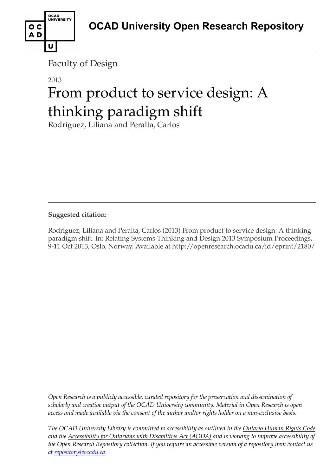

Faculty of Design

#### 2013

# From product to service design: A thinking paradigm shift

Rodriguez, Liliana and Peralta, Carlos

#### **Suggested citation:**

Rodriguez, Liliana and Peralta, Carlos (2013) From product to service design: A thinking paradigm shift. In: Relating Systems Thinking and Design 2013 Symposium Proceedings, 9-11 Oct 2013, Oslo, Norway. Available at http://openresearch.ocadu.ca/id/eprint/2180/

*Open Research is a publicly accessible, curated repository for the preservation and dissemination of scholarly and creative output of the OCAD University community. Material in Open Research is open access and made available via the consent of the author and/or rights holder on a non-exclusive basis.* 

*The OCAD University Library is committed to accessibility as outlined in the Ontario Human Rights Code and the Accessibility for Ontarians with Disabilities Act (AODA) and is working to improve accessibility of the Open Research Repository collection. If you require an accessible version of a repository item contact us at [repository@ocadu.ca.](mailto:repository@ocadu.ca)*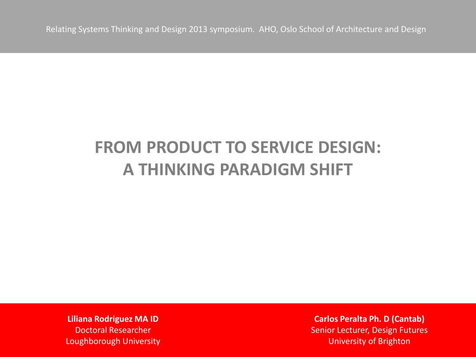## **FROM PRODUCT TO SERVICE DESIGN: A THINKING PARADIGM SHIFT**

**Liliana Rodriguez MA ID** Doctoral Researcher Loughborough University

**Carlos Peralta Ph. D (Cantab)** Senior Lecturer, Design Futures University of Brighton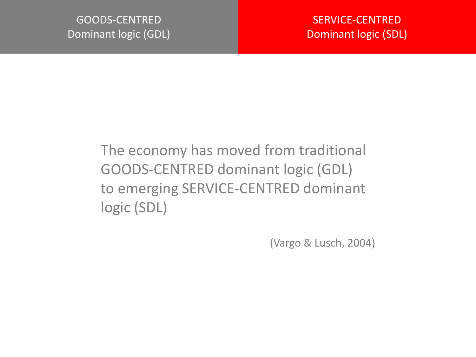#### The economy has moved from traditional GOODS-CENTRED dominant logic (GDL) to emerging SERVICE-CENTRED dominant logic (SDL)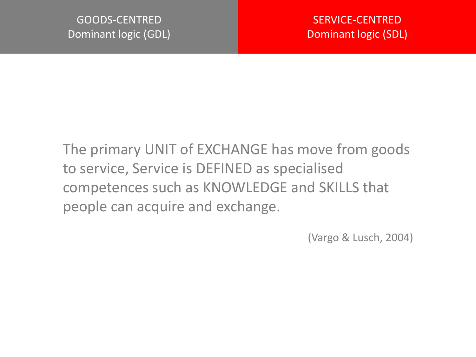The primary UNIT of EXCHANGE has move from goods to service, Service is DEFINED as specialised competences such as KNOWLEDGE and SKILLS that people can acquire and exchange.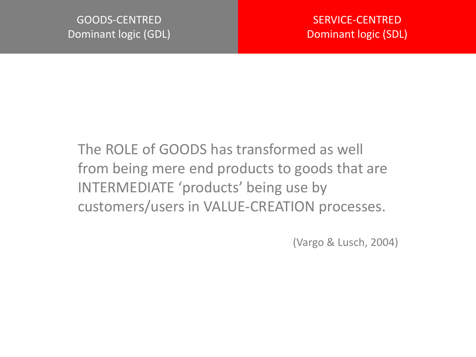The ROLE of GOODS has transformed as well from being mere end products to goods that are INTERMEDIATE 'products' being use by customers/users in VALUE-CREATION processes.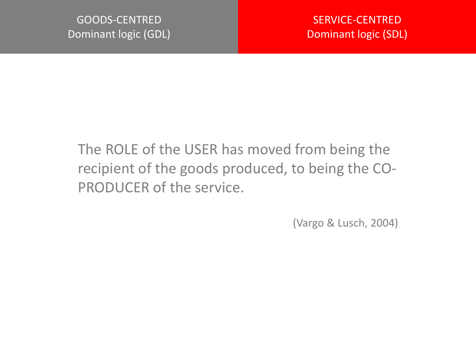#### The ROLE of the USER has moved from being the recipient of the goods produced, to being the CO-PRODUCER of the service.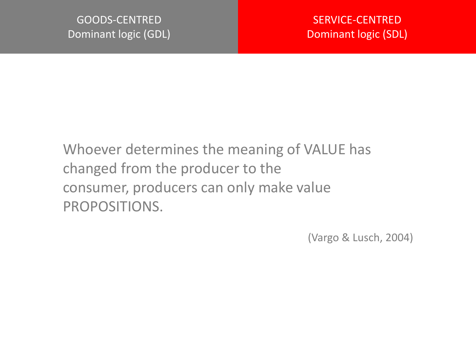Whoever determines the meaning of VALUE has changed from the producer to the consumer, producers can only make value PROPOSITIONS.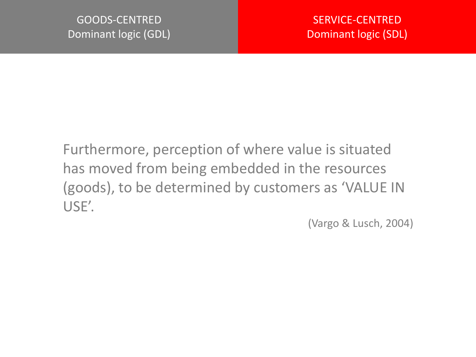Furthermore, perception of where value is situated has moved from being embedded in the resources (goods), to be determined by customers as 'VALUE IN USE'.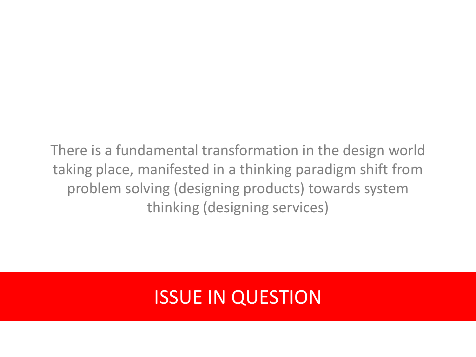There is a fundamental transformation in the design world taking place, manifested in a thinking paradigm shift from problem solving (designing products) towards system thinking (designing services)

## ISSUE IN QUESTION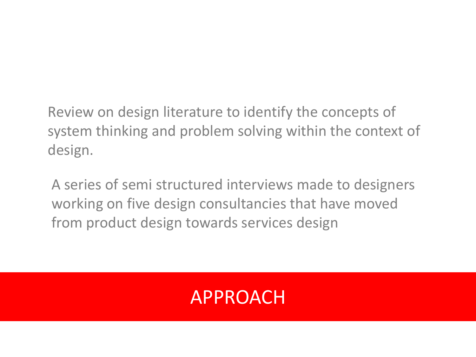Review on design literature to identify the concepts of system thinking and problem solving within the context of design.

A series of semi structured interviews made to designers working on five design consultancies that have moved from product design towards services design

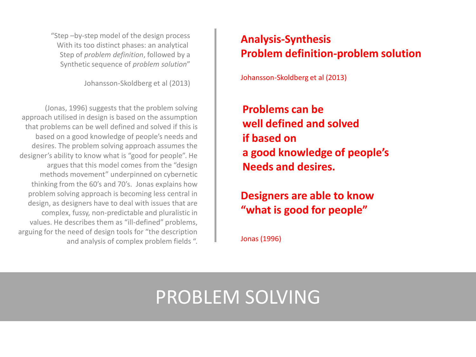"Step –by-step model of the design process With its too distinct phases: an analytical Step of *problem definition*, followed by a Synthetic sequence of *problem solution*"

Johansson-Skoldberg et al (2013)

(Jonas, 1996) suggests that the problem solving approach utilised in design is based on the assumption that problems can be well defined and solved if this is based on a good knowledge of people's needs and desires. The problem solving approach assumes the designer's ability to know what is "good for people". He argues that this model comes from the "design methods movement" underpinned on cybernetic thinking from the 60's and 70's. Jonas explains how problem solving approach is becoming less central in design, as designers have to deal with issues that are complex, fussy, non-predictable and pluralistic in values. He describes them as "ill-defined" problems, arguing for the need of design tools for "the description and analysis of complex problem fields ".

#### **Analysis-Synthesis Problem definition-problem solution**

Johansson-Skoldberg et al (2013)

**Problems can be well defined and solved if based on a good knowledge of people's Needs and desires.**

**Designers are able to know "what is good for people"**

Jonas (1996)

### PROBLEM SOLVING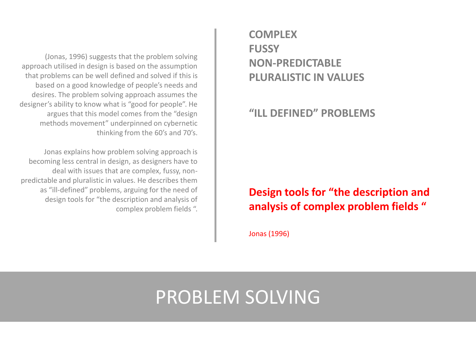(Jonas, 1996) suggests that the problem solving approach utilised in design is based on the assumption that problems can be well defined and solved if this is based on a good knowledge of people's needs and desires. The problem solving approach assumes the designer's ability to know what is "good for people". He argues that this model comes from the "design methods movement" underpinned on cybernetic thinking from the 60's and 70's.

Jonas explains how problem solving approach is becoming less central in design, as designers have to deal with issues that are complex, fussy, nonpredictable and pluralistic in values. He describes them as "ill-defined" problems, arguing for the need of design tools for "the description and analysis of complex problem fields ". **COMPLEX FUSSY NON-PREDICTABLE PLURALISTIC IN VALUES**

**"ILL DEFINED" PROBLEMS**

#### **Design tools for "the description and analysis of complex problem fields "**

Jonas (1996)

### PROBLEM SOLVING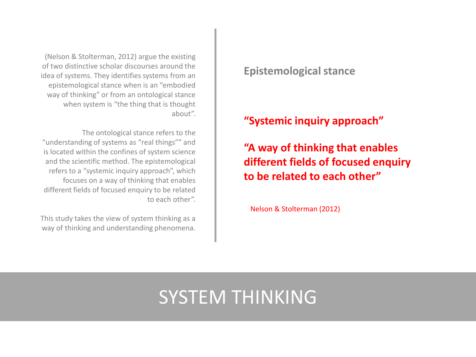(Nelson & Stolterman, 2012) argue the existing of two distinctive scholar discourses around the idea of systems. They identifies systems from an epistemological stance when is an "embodied way of thinking" or from an ontological stance when system is "the thing that is thought about".

The ontological stance refers to the "understanding of systems as "real things"" and is located within the confines of system science and the scientific method. The epistemological refers to a "systemic inquiry approach", which focuses on a way of thinking that enables different fields of focused enquiry to be related to each other".

This study takes the view of system thinking as a way of thinking and understanding phenomena.

#### **Epistemological stance**

#### **"Systemic inquiry approach"**

**"A way of thinking that enables different fields of focused enquiry to be related to each other"**

Nelson & Stolterman (2012)

## SYSTEM THINKING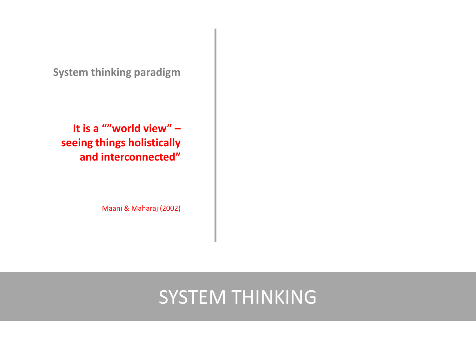**System thinking paradigm**

**It is a ""world view" – seeing things holistically and interconnected"** 

Maani & Maharaj (2002)

#### SYSTEM THINKING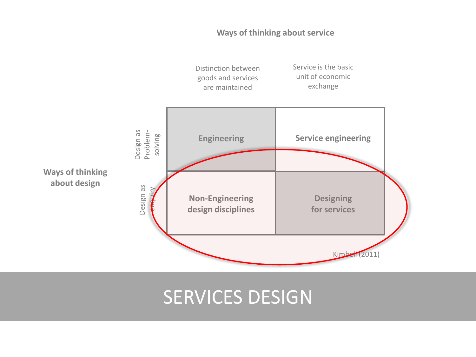#### **Ways of thinking about service**



#### SERVICES DESIGN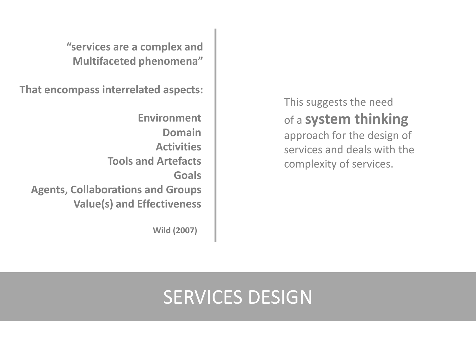**"services are a complex and Multifaceted phenomena"**

**That encompass interrelated aspects:**

**Environment Domain Activities Tools and Artefacts Goals Agents, Collaborations and Groups Value(s) and Effectiveness**

**Wild (2007)**

This suggests the need of a **system thinking** 

approach for the design of services and deals with the complexity of services.

# SERVICES DESIGN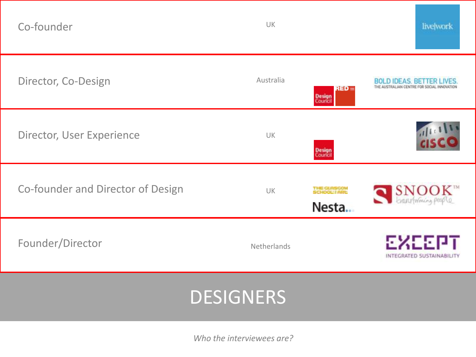| Co-founder                        | UK                                                  | live work                           |
|-----------------------------------|-----------------------------------------------------|-------------------------------------|
| Director, Co-Design               | Australia<br>RED ⊨<br><b>Design</b><br>Couricil     | <b>BOLD IDEAS, BETTER LIVES.</b>    |
| Director, User Experience         | UK<br><b>Design</b><br>Council                      |                                     |
| Co-founder and Director of Design | THE GUASCON<br>SCHOOL! I ABL<br><b>UK</b><br>Nesta. | SNOOK <sup>18</sup>                 |
| Founder/Director                  | Netherlands                                         | EXEEPT<br>INTEGRATED SUSTAINABILITY |
|                                   | <b>DESIGNERS</b>                                    |                                     |
|                                   |                                                     |                                     |

*Who the interviewees are?*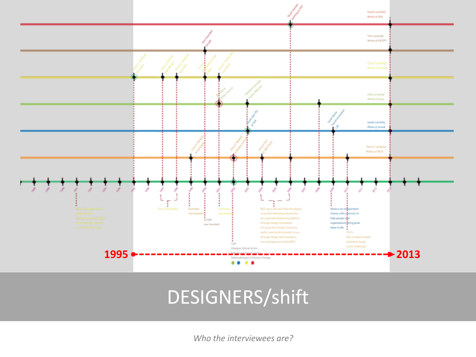

# DESIGNERS/shift

*Who the interviewees are?*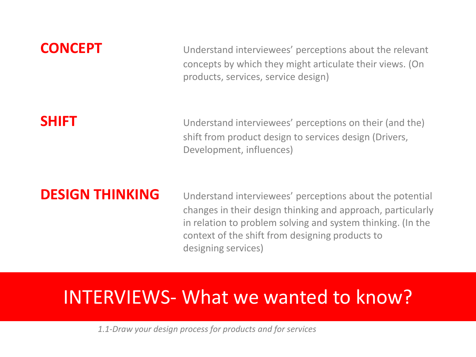**CONCEPT** Understand interviewees' perceptions about the relevant concepts by which they might articulate their views. (On products, services, service design)

**SHIFT** Understand interviewees' perceptions on their (and the) shift from product design to services design (Drivers, Development, influences)

**DESIGN THINKING** Understand interviewees' perceptions about the potential changes in their design thinking and approach, particularly in relation to problem solving and system thinking. (In the context of the shift from designing products to designing services)

#### INTERVIEWS- What we wanted to know?

*1.1-Draw your design process for products and for services*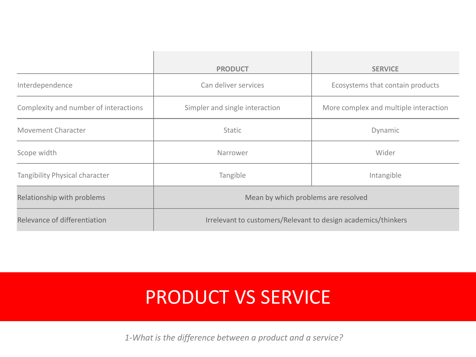|                                       | <b>PRODUCT</b>                                                | <b>SERVICE</b>                        |  |
|---------------------------------------|---------------------------------------------------------------|---------------------------------------|--|
| Interdependence                       | Can deliver services                                          | Ecosystems that contain products      |  |
| Complexity and number of interactions | Simpler and single interaction                                | More complex and multiple interaction |  |
| <b>Movement Character</b>             | <b>Static</b>                                                 | Dynamic                               |  |
| Scope width                           | Narrower                                                      | Wider                                 |  |
| Tangibility Physical character        | Tangible<br>Intangible                                        |                                       |  |
| Relationship with problems            | Mean by which problems are resolved                           |                                       |  |
| Relevance of differentiation          | Irrelevant to customers/Relevant to design academics/thinkers |                                       |  |

## PRODUCT VS SERVICE

*1-What is the difference between a product and a service?*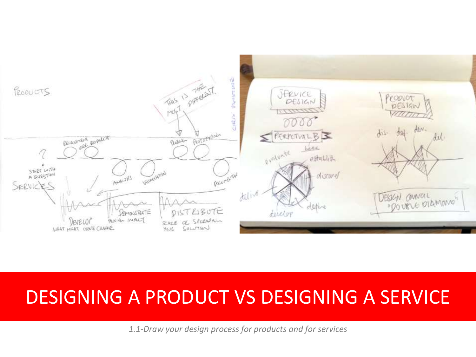

#### DESIGNING A PRODUCT VS DESIGNING A SERVICE

*1.1-Draw your design process for products and for services*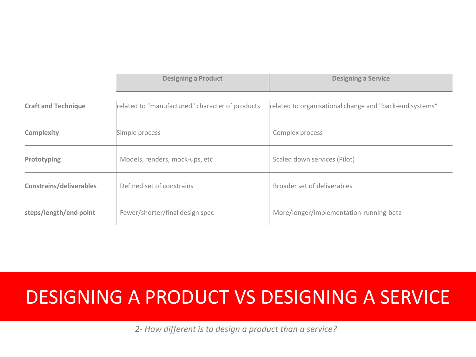|                                | <b>Designing a Product</b>                      | <b>Designing a Service</b>                              |  |
|--------------------------------|-------------------------------------------------|---------------------------------------------------------|--|
| <b>Craft and Technique</b>     | related to "manufactured" character of products | related to organisational change and "back-end systems" |  |
| Complexity                     | Simple process                                  | Complex process                                         |  |
| Prototyping                    | Models, renders, mock-ups, etc                  | Scaled down services (Pilot)                            |  |
| <b>Constrains/deliverables</b> | Defined set of constrains                       | Broader set of deliverables                             |  |
| steps/length/end point         | Fewer/shorter/final design spec                 | More/longer/implementation-running-beta                 |  |

#### DESIGNING A PRODUCT VS DESIGNING A SERVICE

*2- How different is to design a product than a service?*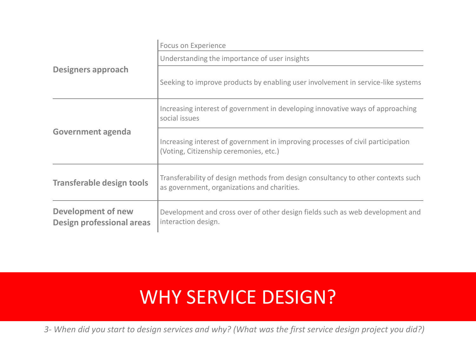|                                                               | Focus on Experience                                                                                                             |  |  |
|---------------------------------------------------------------|---------------------------------------------------------------------------------------------------------------------------------|--|--|
|                                                               | Understanding the importance of user insights                                                                                   |  |  |
| <b>Designers approach</b>                                     | Seeking to improve products by enabling user involvement in service-like systems                                                |  |  |
|                                                               | Increasing interest of government in developing innovative ways of approaching<br>social issues                                 |  |  |
| <b>Government agenda</b>                                      | Increasing interest of government in improving processes of civil participation<br>(Voting, Citizenship ceremonies, etc.)       |  |  |
| <b>Transferable design tools</b>                              | Transferability of design methods from design consultancy to other contexts such<br>as government, organizations and charities. |  |  |
| <b>Development of new</b><br><b>Design professional areas</b> | Development and cross over of other design fields such as web development and<br>interaction design.                            |  |  |

# WHY SERVICE DESIGN?

*3- When did you start to design services and why? (What was the first service design project you did?)*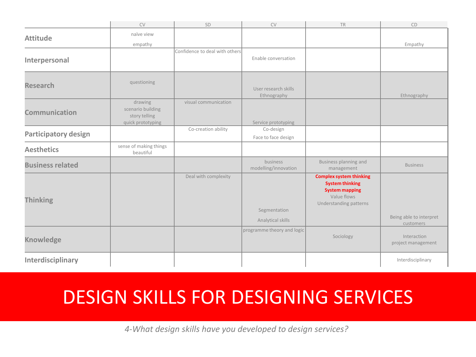|                             | <b>CV</b>                                                          | SD                             | CV                                  | <b>TR</b>                                                                                                                  | CD                                   |
|-----------------------------|--------------------------------------------------------------------|--------------------------------|-------------------------------------|----------------------------------------------------------------------------------------------------------------------------|--------------------------------------|
| <b>Attitude</b>             | naïve view                                                         |                                |                                     |                                                                                                                            |                                      |
|                             | empathy                                                            |                                |                                     |                                                                                                                            | Empathy                              |
| Interpersonal               |                                                                    | Confidence to deal with others | Enable conversation                 |                                                                                                                            |                                      |
| <b>Research</b>             | questioning                                                        |                                | User research skills<br>Ethnography |                                                                                                                            | Ethnography                          |
| Communication               | drawing<br>scenario building<br>story telling<br>quick prototyping | visual communication           | Service prototyping                 |                                                                                                                            |                                      |
| <b>Participatory design</b> |                                                                    | Co-creation ability            | Co-design<br>Face to face design    |                                                                                                                            |                                      |
| <b>Aesthetics</b>           | sense of making things<br>beautiful                                |                                |                                     |                                                                                                                            |                                      |
| <b>Business related</b>     |                                                                    |                                | business<br>modelling/innovation    | Business planning and<br>management                                                                                        | <b>Business</b>                      |
| <b>Thinking</b>             |                                                                    | Deal with complexity           | Segmentation<br>Analytical skills   | <b>Complex system thinking</b><br><b>System thinking</b><br><b>System mapping</b><br>Value flows<br>Understanding patterns | Being able to interpret<br>customers |
| <b>Knowledge</b>            |                                                                    |                                | programme theory and logic          | Sociology                                                                                                                  | Interaction<br>project management    |
| Interdisciplinary           |                                                                    |                                |                                     |                                                                                                                            | Interdisciplinary                    |

## DESIGN SKILLS FOR DESIGNING SERVICES

*4-What design skills have you developed to design services?*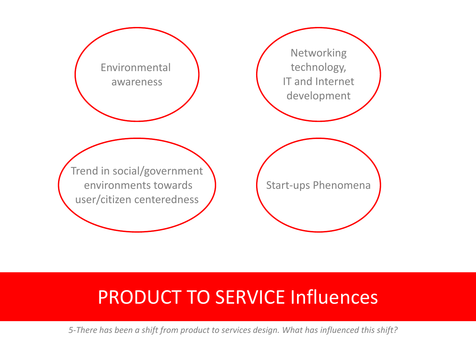

## PRODUCT TO SERVICE Influences

*5-There has been a shift from product to services design. What has influenced this shift?*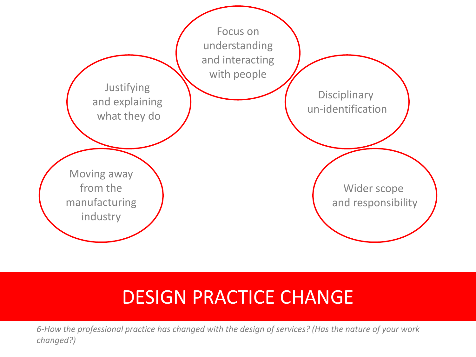

### DESIGN PRACTICE CHANGE

*6-How the professional practice has changed with the design of services? (Has the nature of your work changed?)*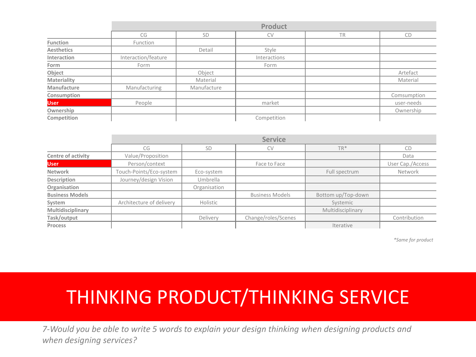|                   | <b>Product</b>      |             |              |           |             |
|-------------------|---------------------|-------------|--------------|-----------|-------------|
|                   | CG                  | SD          | <b>CV</b>    | <b>TR</b> | CD          |
| Function          | Function            |             |              |           |             |
| <b>Aesthetics</b> |                     | Detail      | Style        |           |             |
| Interaction       | Interaction/feature |             | Interactions |           |             |
| Form              | Form                |             | Form         |           |             |
| Object            |                     | Object      |              |           | Artefact    |
| Materiality       |                     | Material    |              |           | Material    |
| Manufacture       | Manufacturing       | Manufacture |              |           |             |
| Consumption       |                     |             |              |           | Comsumption |
| <b>User</b>       | People              |             | market       |           | user-needs  |
| Ownership         |                     |             |              |           | Ownership   |
| Competition       |                     |             | Competition  |           |             |

|                        | <b>Service</b>           |              |                        |                    |                  |
|------------------------|--------------------------|--------------|------------------------|--------------------|------------------|
|                        | CG                       | <b>SD</b>    | <b>CV</b>              | $TR*$              | CD               |
| Centre of activity     | Value/Proposition        |              |                        |                    | Data             |
| <b>User</b>            | Person/context           |              | Face to Face           |                    | User Cap./Access |
| Network                | Touch-Points/Eco-system  | Eco-system   |                        | Full spectrum      | Network          |
| Description            | Journey/design Vision    | Umbrella     |                        |                    |                  |
| Organisation           |                          | Organisation |                        |                    |                  |
| <b>Business Models</b> |                          |              | <b>Business Models</b> | Bottom up/Top-down |                  |
| System                 | Architecture of delivery | Holistic     |                        | Systemic           |                  |
| Multidisciplinary      |                          |              |                        | Multidisciplinary  |                  |
| Task/output            |                          | Delivery     | Change/roles/Scenes    |                    | Contribution     |
| Process                |                          |              |                        | Iterative          |                  |

*\*Same for product*

## THINKING PRODUCT/THINKING SERVICE

*7-Would you be able to write 5 words to explain your design thinking when designing products and when designing services?*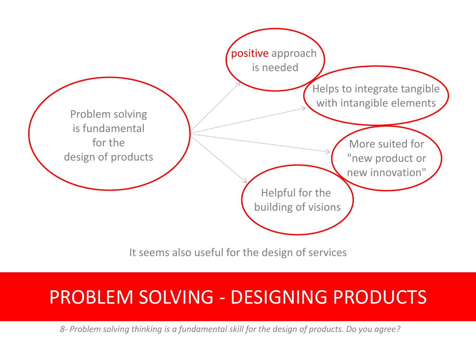

It seems also useful for the design of services

#### PROBLEM SOLVING - DESIGNING PRODUCTS

*8- Problem solving thinking is a fundamental skill for the design of products. Do you agree?*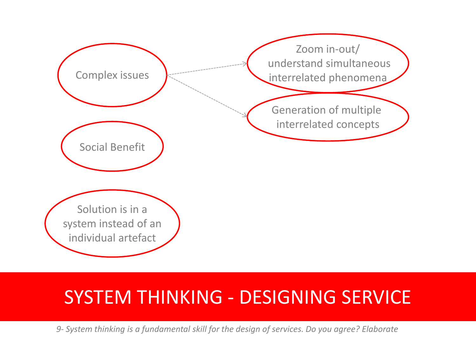

#### SYSTEM THINKING - DESIGNING SERVICE

*9- System thinking is a fundamental skill for the design of services. Do you agree? Elaborate*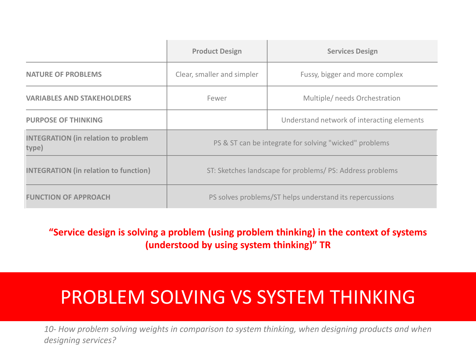|                                                     | <b>Product Design</b>                                    | <b>Services Design</b>                     |  |
|-----------------------------------------------------|----------------------------------------------------------|--------------------------------------------|--|
| <b>NATURE OF PROBLEMS</b>                           | Clear, smaller and simpler                               | Fussy, bigger and more complex             |  |
| <b>VARIABLES AND STAKEHOLDERS</b>                   | Multiple/ needs Orchestration<br>Fewer                   |                                            |  |
| <b>PURPOSE OF THINKING</b>                          |                                                          | Understand network of interacting elements |  |
| <b>INTEGRATION (in relation to problem</b><br>type) | PS & ST can be integrate for solving "wicked" problems   |                                            |  |
| <b>INTEGRATION (in relation to function)</b>        | ST: Sketches landscape for problems/PS: Address problems |                                            |  |
| <b>FUNCTION OF APPROACH</b>                         | PS solves problems/ST helps understand its repercussions |                                            |  |

**"Service design is solving a problem (using problem thinking) in the context of systems (understood by using system thinking)" TR**

# PROBLEM SOLVING VS SYSTEM THINKING

*10- How problem solving weights in comparison to system thinking, when designing products and when designing services?*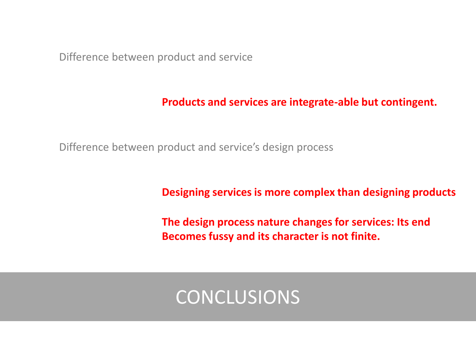Difference between product and service

#### **Products and services are integrate-able but contingent.**

Difference between product and service's design process

**Designing services is more complex than designing products**

**The design process nature changes for services: Its end Becomes fussy and its character is not finite.**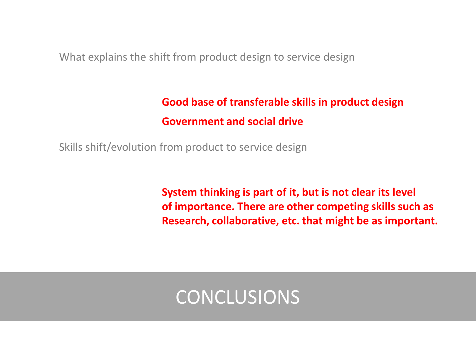What explains the shift from product design to service design

#### **Good base of transferable skills in product design Government and social drive**

Skills shift/evolution from product to service design

**System thinking is part of it, but is not clear its level of importance. There are other competing skills such as Research, collaborative, etc. that might be as important.**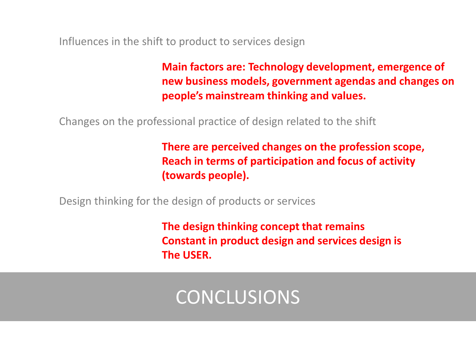Influences in the shift to product to services design

**Main factors are: Technology development, emergence of new business models, government agendas and changes on people's mainstream thinking and values.**

Changes on the professional practice of design related to the shift

**There are perceived changes on the profession scope, Reach in terms of participation and focus of activity (towards people).**

Design thinking for the design of products or services

**The design thinking concept that remains Constant in product design and services design is The USER.**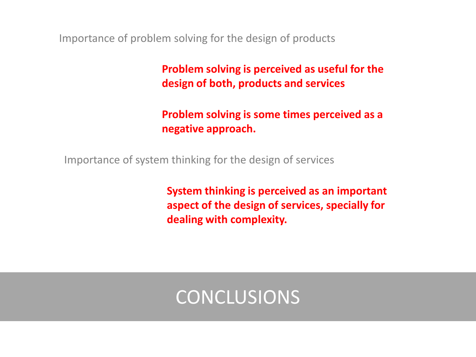Importance of problem solving for the design of products

**Problem solving is perceived as useful for the design of both, products and services**

**Problem solving is some times perceived as a negative approach.**

Importance of system thinking for the design of services

**System thinking is perceived as an important aspect of the design of services, specially for dealing with complexity.**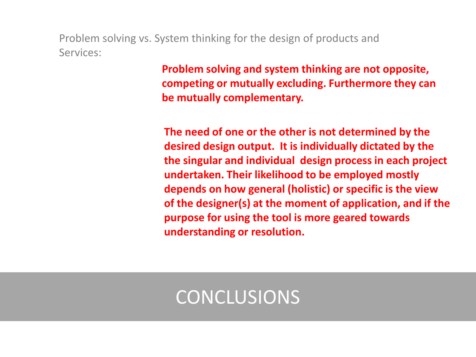Problem solving vs. System thinking for the design of products and Services:

> **Problem solving and system thinking are not opposite, competing or mutually excluding. Furthermore they can be mutually complementary.**

**The need of one or the other is not determined by the desired design output. It is individually dictated by the the singular and individual design process in each project undertaken. Their likelihood to be employed mostly depends on how general (holistic) or specific is the view of the designer(s) at the moment of application, and if the purpose for using the tool is more geared towards understanding or resolution.**